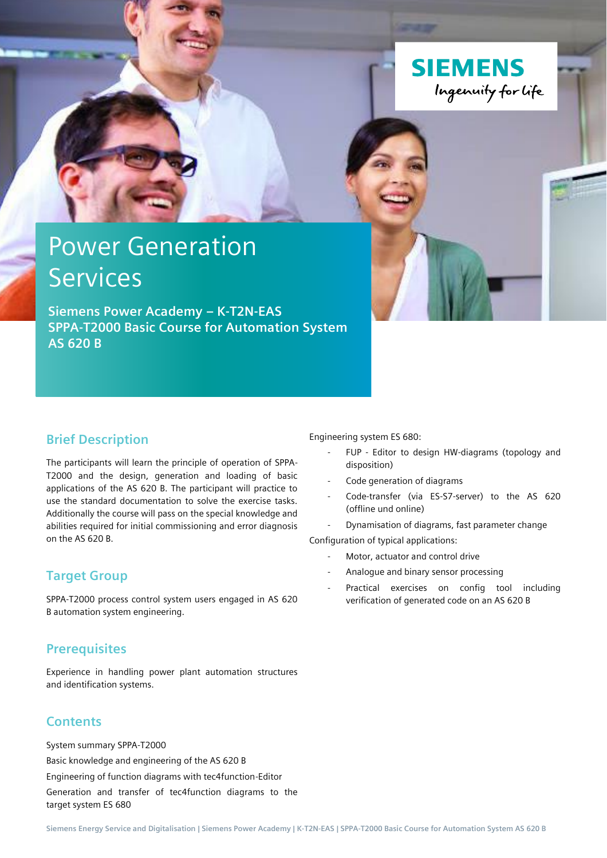

# Power Generation **Services**

**Siemens Power Academy – K-T2N-EAS SPPA-T2000 Basic Course for Automation System AS 620 B**

#### **Brief Description**

The participants will learn the principle of operation of SPPA-T2000 and the design, generation and loading of basic applications of the AS 620 B. The participant will practice to use the standard documentation to solve the exercise tasks. Additionally the course will pass on the special knowledge and abilities required for initial commissioning and error diagnosis on the AS 620 B.

#### **Target Group**

SPPA-T2000 process control system users engaged in AS 620 B automation system engineering.

## **Prerequisites**

Experience in handling power plant automation structures and identification systems.

## **Contents**

System summary SPPA-T2000 Basic knowledge and engineering of the AS 620 B Engineering of function diagrams with tec4function-Editor Generation and transfer of tec4function diagrams to the target system ES 680

Engineering system ES 680:

- FUP Editor to design HW-diagrams (topology and disposition)
- Code generation of diagrams
- Code-transfer (via ES-S7-server) to the AS 620 (offline und online)
- Dynamisation of diagrams, fast parameter change

Configuration of typical applications:

- Motor, actuator and control drive
- Analogue and binary sensor processing
- Practical exercises on config tool including verification of generated code on an AS 620 B